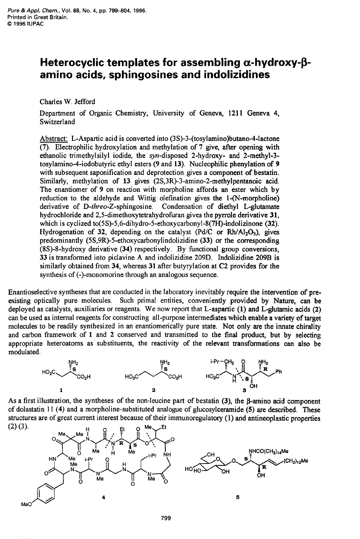## Heterocyclic templates for assembling α-hydroxy-β**amino acids, sphingosines and indolizidines**

Charles W. Jefford

Department of Organic Chemistry, University of Geneva, 1211 Geneva **4,**  Switzerland

Abstract: L-Aspartic acid is converted into **(3 S)-3-(tosylamino)butano-4-lactone**  (7). Electrophilic hydroxylation and methylation of 7 give, after opening with ethanolic trimethylsilyl iodide, the syn-disposed 2-hydroxy- and 2-methyl-3 **tosylamino-4-iodobutyric** ethyl esters *(9* and 13). Nucleophilic phenylation of *<sup>9</sup>* with subsequent saponification and deprotection gives a component of bestatin. Similarly, methylation of **13** gives **(2S,3R)-3-amino-2-methylpentanoic** acid. The enantiomer of *9* on reaction with morpholine affords **an** ester which by reduction to the aldehyde and Wittig olefination gives the 1-(N-morpholine) derivative of D-threo-Z-sphingosine. Condensation of diethyl L-glutamate hydrochloride and **2,5-dirnethoxytetrahydrofuran** gives the pyrrole derivative **31,**  which is cyclized to(5S)-5,6-dihydro-5-ethoxycarbonyl-8(7H)-indolizinone (32). Hydrogenation of 32, depending on the catalyst (Pd/C or Rh/Al<sub>2</sub>O<sub>3</sub>), gives predominantly **(5S,9R)-5-ethoxycarbonylindolizidine** (33) or the corresponding (8S)-8-hydroxy derivative **(34)** respectively. By fimctional group conversions, **33** is transformed into piclavine A and indolizidine 209D. Indolizidine **2093** is similarly obtained from **34,** whereas **31** after butyrylation at C2 provides for the synthesis of (-)-monomorine through an analogous sequence.

Enantioselective syntheses that are conducted in the laboratory inevitably require the intervention of preexisting optically pure molecules. Such primal entities, conveniently provided by Nature, can be deployed as catalysts, auxiliaries or reagents. We now report that L-aspartic (1) and L-glutamic acids (2) can be used as internal reagents for constructing all-purpose intermediates which enable **a** variety **of** target molecules to be readily synthesized in an enantiomerically pure state. Not only are the innate chirality and carbon framework of **1** and **2** conserved and transmitted to the final product, but by selecting appropriate heteroatoms as substituents, the reactivity of the relevant transformations *can* also be modulated.



As a first illustration, the syntheses of the non-leucine part of bestatin (3), the  $\beta$ -amino acid component of dolastatin 11 **(4)** and a morpholine-substituted analogue of glucosylceramide **(5)** are described. These structures are of great current interest because of their immunoregulatory (1) and antineoplastic properties  $(2)$   $(3)$ . Me

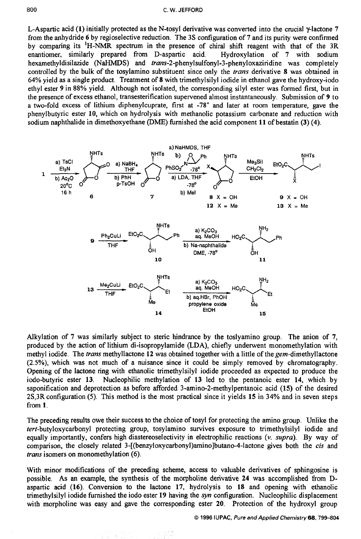L-Aspartic acid **(1)** initially protected as the N-tosyl derivative was converted into the crucial y-lactone **7**  from the anhydride **6** by regioselective reduction. The 3s configuration of **7** and its purity were confirmed by comparing its **'H-NMR** spectrum in the presence of chiral shift reagent with that of the 3R enantiomer, similarly prepared from D-aspartic acid. Hydroxylation of **7** with sodium hexamethyldisilazide (NaHMDS) and *trans-2*-phenylsulfonyl-3-phenyloxaziridine was completely controlled by the bulk of the tosylamino substituent since only the *trans* derivative *8* was obtained in **64%** yield **as** a single product. Treatment of **8** with trimethylsilyl iodide in ethanol gave the hydroxy-iodo ethyl ester **9** in 88% yield. Although not isolated, the corresponding silyl ester was formed first, but in the presence of excess ethanol, transesterification supervened almost instantaneously. Submission of **9** to a two-fold excess of lithium diphenylcuprate, first at **-78"** and later at room temperature, gave the phenylbutyric ester **10,** which on hydrolysis with methanolic potassium carbonate and reduction with sodium naphthalide in dimethoxyethane **@ME)** finished the acid component **11** of bestatin **(3) (4).** 



Alkylation of **7** was similarly subject to steric hindrance by the toslyamino group. The anion of **7,**  produced by the action of lithium di-isopropylamide (LDA), chiefly underwent monomethylation with methyl iodide. The *trans* methyllactone **12** was obtained together with a little of the gem-dimethyllactone (2.5%), which was not much of a nuisance since it could be simply removed by chromatography. Opening of the lactone ring with ethanolic trimethylsilyl iodide proceeded as expected to produce the iodo-butyric ester **13.** Nucleophilic methylation of **13** led to the pentanoic ester **14,** which by saponification and deprotection as before afforded **3-amino-2-methylpentanoic** acid **(15)** of the desired 2S,3R configuration **(5).** This method is the most practical since it yields **15** in **34%** and in seven steps from **1.** 

The preceding results owe their success to the choice of tosyl for protecting the amino group. Unlike the tert-butyloxycarbonyl protecting group, tosylamino survives exposure to trimethylsilyl iodide and equally importantly, confers high diastereoselectivity in electrophilic reactions *(v. supra).* By way of comparison, the closely related **3-[(benzyloxycarbonyl)amino]butano-4-lactone** gives both the *cis* and *trans* isomers on monomethylation **(6).** 

With minor modifications of the preceding scheme, access to valuable derivatives of sphingosine is possible. **As** an example, the synthesis of the morpholine derivative **24** was accomplished from **D**aspartic acid **(16).** Conversion to the lactone **17,** hydrolysis to **18** and opening with ethanolic trimethylsilyl iodide furnished the iodo ester **19** having the *syn* configuration. Nucleophilic displacement with morpholine was easy and gave the corresponding ester **20.** Protection of the hydroxyl group

*0 1996* **IUPAC,** *Pure and Applied Chemistry68.799-804*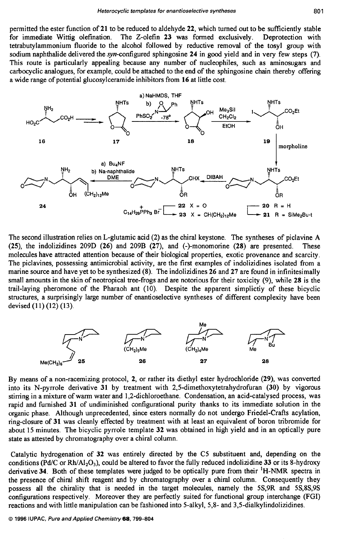permitted the ester function of **21** to be reduced to aldehyde **22,** which turned out to be sufficiently stable for immediate Wittig olefination. The Z-olefin **23** was formed exclusively. Deprotection with tetrabutylammonium fluoride to the alcohol followed by reductive removal of the tosyl group with sodium naphthalide delivered the syn-configured sphingosine **24** in good yield and in very few steps **(7).**  This route is particularly appealing because any number of nucleophiles, such as aminosugars and carbocyclic analogues, for example, could be attached to the end of the sphingosine chain thereby offering a wide range of potential glucosylceramide inhibitors from **16** at little cost.



The second illustration relies on L-glutamic acid (2) **as** the chiral keystone. The syntheses of piclavine **A (25),** the indolizidines 209D **(26)** and 209B **(27),** and (-)-monomorine **(28)** are presented. These molecules have attracted attention because of their biological properties, exotic provenance and scarcity. The piclavines, possessing antimicrobial activity, are the first examples of indolizidines isolated from a marine source and have yet to be synthesized **(8).** The indolizidines **26** and **27** are found in infinitesimally small amounts in the skin of neotropical tree-frogs and are notorious for their toxicity (9), while **28** is the trail-laying pheromone of the Pharaoh ant (10). Despite the apparent simplictiy of these bicyclic structures, a surprisingly large number of enantioselective syntheses of different complexity have been devised (11) (12) (13).



By means of a non-racemizing protocol, **2,** or rather its diethyl ester hydrochloride **(29),** was converted into its N-pyrrole derivative **31** by treatment with **2,5-dimethoxytetrahydrofuran (30)** by vigorous stimng in a mixture of warm water and 1,2-clichloroethane. Condensation, an acid-catalysed process, was rapid and furnished **31** of undiminished configurational purity thanks to its immediate solution in the organic phase. Although unprecedented, since esters normally do not undergo Friedel-Crafts acylation, ring-closure of **31** was cleanly effected by treatment with at least an equivalent of boron tribromide for about **15** minutes. The bicyclic pyrrole template **32** was obtained in **high** yield and in an optically pure state as attested by chromatography over a chiral column.

Catalytic hydrogenation of **32** was entirely directed by the C5 substituent and, depending on the conditions *(PdC* or Rh/A1203), could be altered to favor the hlly reduced indolizidine **33** or its 8-hydroxy derivative **34.** Both of these templates were judged to be optically pure from their **'H-NMR** spectra in the presence of chiral shift reagent and by chromatography over a chiral column. Consequently they possess all the chirality that is needed in the target molecules, namely the 5S,9R and 5S,8S,9S configurations respectively. Moreover they are perfectly suited for functional group interchange (FGI) reactions and with little manipulation can be fashioned into 5-alky1, 5,s- and **3,5-dialkylindolizidines.**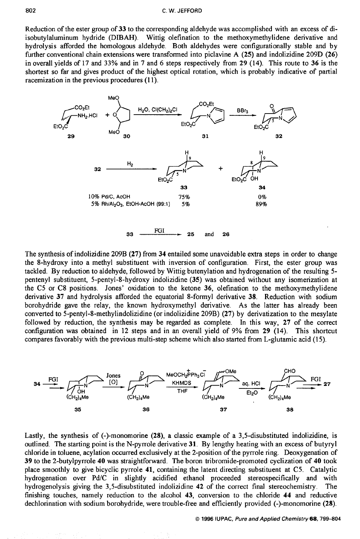Reduction of the ester group of **33** to the corresponding aldehyde was accomplished with an excess of diisobutylaluminum hydride (DIBAH). Wittig olefination to the methoxymethylidene derivative and hydrolysis afforded the homologous aldehyde. Both aldehydes were configurationally stable and by further conventional chain extensions were transformed into piclavine **A (25)** and indolizidine 209D **(26)**  in overall yields of 17 and **33%** and in **7** and *6* steps respectively from **29 (14).** This route to **36** is the shortest so far and gives product of the highest optical rotation, which is probably indicative of partial racemization in the previous procedures (11).



The synthesis of indolizidine 209B **(27)** from **34** entailed some unavoidable extra steps in order to change the 8-hydroxy into a methyl substituent with inversion of configuration. First, the ester group was tackled. By reduction to aldehyde, followed by Wittig butenylation and hydrogenation of the resulting **5**  pentenyl substituent, 5-pentyl-8-hydroxy indolizidine **(35)** was obtained without any isomerization at the C5 or C8 positions. Jones' oxidation to the ketone **36,** olefination to the methoxymethylidene derivative **37** and hydrolysis afforded the equatorial 8-formyl derivative **38.** Reduction with sodium borohydride gave the relay, the known hydroxymethyl derivative. **As** the latter has already been converted to **5-pentyl-8-methylindolizidine** (or indolizidine 209B) **(27)** by derivatization to the mesylate followed by reduction, the synthesis may be regarded as complete. In this way, **27** of the correct configuration was obtained in 12 steps and in an overall yield of 9% from **29 (14).** This shortcut compares favorably with the previous multi-step scheme which also started from L-glutamic acid (1 *5).* 



Lastly, the synthesis of (-)-monomorine **(28),** a classic example of a 3,5-disubstituted indolizidine, is outlined. The starting point is the N-pyrrole derivative **31.** By lengthy heating with an excess of butyryl chloride in toluene, acylation occurred exclusively at the 2-position of the pyrrole ring. Deoxygenation of **39** to the 2-butylpyrrole **40** was straightforward. The boron tribromide-promoted cyclization of **40** took place smoothly to give bicyclic pyrrole **41,** containing the latent directing substituent at C5. Catalytic hydrogenation over Pd/C in slightly acidified ethanol proceeded stereospecifically and with hydrogenolysis giving the 3,5-disubstituted indolizidine **42** of the correct final stereochemistry. The finishing touches, namely reduction to the alcohol **43,** conversion to the chloride **44** and reductive dechlorination with sodium borohydride, were trouble-free and efficiently provided (-)-monomorine **(28).**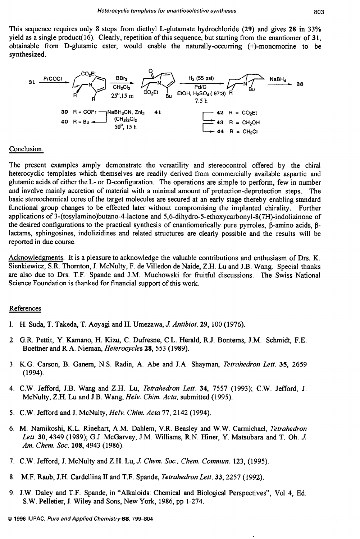This sequence requires only **8** steps from diethyl L-glutamate hydrochloride **(29)** and gives **28** in **33%**  yield as a single product(l6). Clearly, repetition of this sequence, but starting from the enantiomer of **31,**  obtainable from D-glutamic ester, would enable the naturally-occurring (+)-monomorine to be synthesized.



## Conclusion.

The present examples amply demonstrate the versatility and stereocontrol offered by the chiral heterocyclic templates which themselves are readily derived from commercially available aspartic and glutamic acids of either the L- or D-configuration. The operations are simple to perform, few in number and involve mainly accretion of material with a minimal amount of protection-deprotection steps. The basic stereochemical cores of the target molecules are secured at an early stage thereby enabling standard functional group changes to be effected later without compromising the implanted chirality. Further applications of 3-(tosylamino)butano-4-lactone and **5,6-dihydro-5-ethoxycarbonyI-8(7H)-indolizinone** of the desired configurations to the practical synthesis of enantiomerically pure pyrroles, β-amino acids, βlactams, sphingosines, indolizidines and related structures are clearly possible and the results will be reported in due course.

Acknowledgments. It is a pleasure to acknowledge the valuable contributions and enthusiasm of Drs. K. Sienkiewicz, S.R. Thornton, J. McNulty, F. de Villedon de Naide, **Z.H.** Lu and J.B. Wang. Special thanks are also due to Drs. T.F. Spande and J.M. Muchowski for fruitful discussions. The Swiss National Science Foundation is thanked for financial support of this work.

## References

- 1. H. Suda, T. Takeda, T. Aoyagi and **H.** Umezawa, *J. Antibiot.* **29, 100 (1976).**
- **2.** G.R. Pettit, Y. Kamano, H. Kizu, C. Dufresne, C.L. Herald, R.J. Bontems, J.M. Schmidt, F.E. Boettner and R.A. Nieman, *Heterocycles* **28,553 (1989).**
- **3. K.G.** Carson, B. Ganem, N.S. Radin, A. Abe and J.A. Shayman, *Tetrahedron Lett.* **35,** *2659*  **(1 994).**
- **4.** C.W. Jefford, J.B. Wang and **Z.H.** Lu, *Tetrahedron Lett.* **34, 7557 (1993);** C.W. Jefford, J. McNulty, **Z.H.** Lu and J.B. Wang, *Helv. Chim. Acta,* submitted **(1995).**
- *5.* C.W. Jefford and J. McNulty, *Helv. Chim. Acta 77,* **2142 (1994).**
- 6. M. Namikoshi, K.L. Rinehart, A.M. Dahlem, V.R. Beasley and W.W. Carmichael, *Tetrahedron Lett.* **30, 4349 (1989);** G.J. McGarvey, J.M. Williams, R.N. Hiner, Y. Matsubara and T. Oh. *J. Am. Chem. Soc.* **108,4943 (1986).**
- **7.** C.W. Jefford, J. McNulty and **Z.H.** Lu, *J. Chem. Soc., Chem. Commun.* **123, (1995).**
- **8. M.F.** Raub, J.H. Cardellina I1 and T.F. Spande, *Tetrahedron Lett.* **33,2257 (1992).**
- **9.** J.W. Daley and T.F. Spande, in "Alkaloids: Chemical and Biological Perspectives", Vol **4,** Ed. S.W. Pelletier, J. Wiley and Sons, New York, **1986,** pp **1-274.**